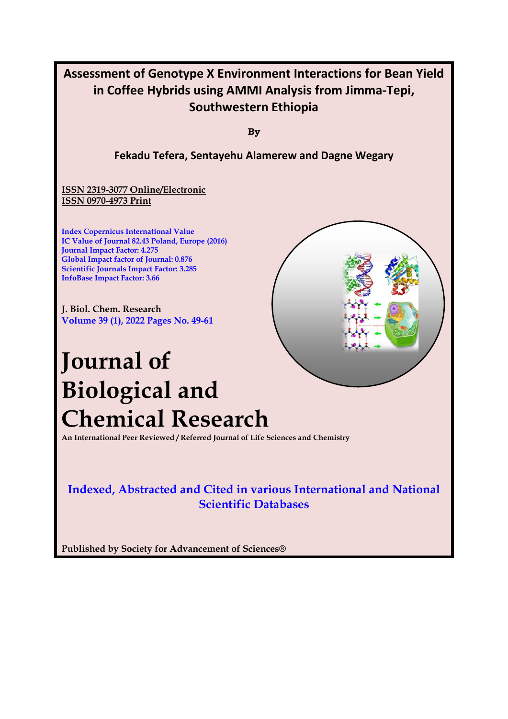

**Published by Society for Advancement of Sciences®**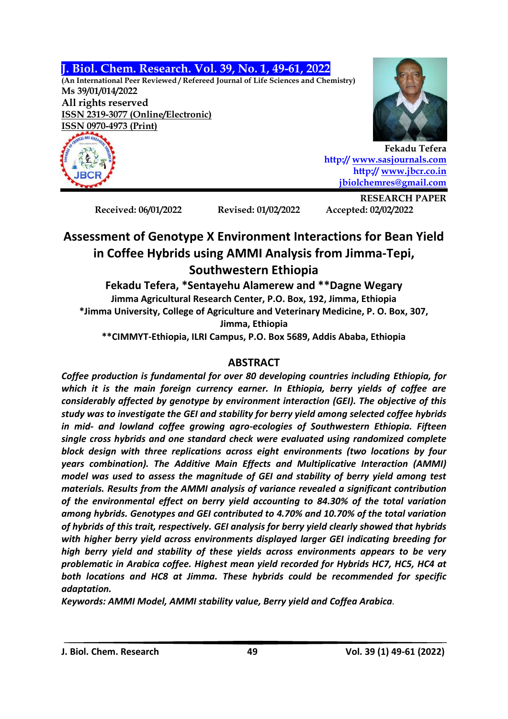### **J. Biol. Chem. Research. Vol. 39, No. 1, 49-61, 2022**

**(An International Peer Reviewed / Refereed Journal of Life Sciences and Chemistry) Ms 39/01/014/2022 All rights reserved ISSN 2319-3077 (Online/Electronic) ISSN 0970-4973 (Print)**





**Fekadu Tefera http:// [www.sasjournals.com](http://www.sasjournals.com/) http:/[/ www.jbcr.co.in](http://www.jbcr.co.in/) [jbiolchemres@gmail.com](mailto:jbiolchemres@gmail.com)**

**Received: 06/01/2022 Revised: 01/02/2022 Accepted: 02/02/2022**

**RESEARCH PAPER**

# **Assessment of Genotype X Environment Interactions for Bean Yield in Coffee Hybrids using AMMI Analysis from Jimma-Tepi, Southwestern Ethiopia**

**Fekadu Tefera, \*Sentayehu Alamerew and \*\*Dagne Wegary Jimma Agricultural Research Center, P.O. Box, 192, Jimma, Ethiopia \*Jimma University, College of Agriculture and Veterinary Medicine, P. O. Box, 307, Jimma, Ethiopia**

**\*\*CIMMYT-Ethiopia, ILRI Campus, P.O. Box 5689, Addis Ababa, Ethiopia**

# **ABSTRACT**

*Coffee production is fundamental for over 80 developing countries including Ethiopia, for which it is the main foreign currency earner. In Ethiopia, berry yields of coffee are considerably affected by genotype by environment interaction (GEI). The objective of this study was to investigate the GEI and stability for berry yield among selected coffee hybrids in mid- and lowland coffee growing agro-ecologies of Southwestern Ethiopia. Fifteen single cross hybrids and one standard check were evaluated using randomized complete block design with three replications across eight environments (two locations by four years combination). The Additive Main Effects and Multiplicative Interaction (AMMI) model was used to assess the magnitude of GEI and stability of berry yield among test materials. Results from the AMMI analysis of variance revealed a significant contribution of the environmental effect on berry yield accounting to 84.30% of the total variation among hybrids. Genotypes and GEI contributed to 4.70% and 10.70% of the total variation of hybrids of this trait, respectively. GEI analysis for berry yield clearly showed that hybrids with higher berry yield across environments displayed larger GEI indicating breeding for high berry yield and stability of these yields across environments appears to be very problematic in Arabica coffee. Highest mean yield recorded for Hybrids HC7, HC5, HC4 at both locations and HC8 at Jimma. These hybrids could be recommended for specific adaptation.* 

*Keywords: AMMI Model, AMMI stability value, Berry yield and Coffea Arabica.*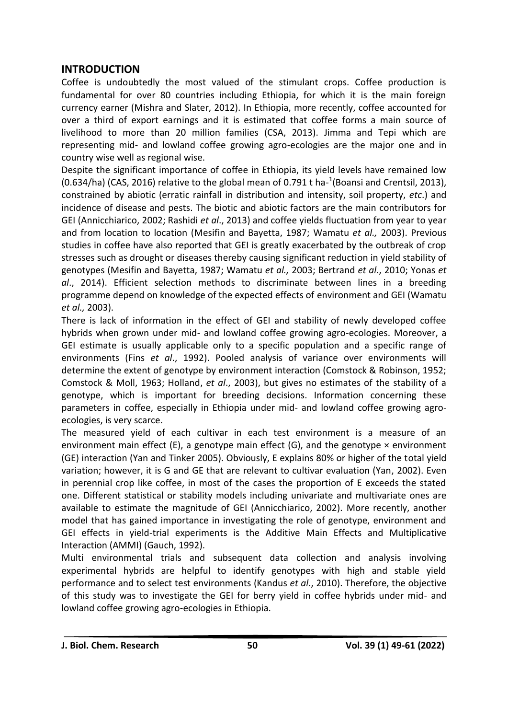#### **INTRODUCTION**

Coffee is undoubtedly the most valued of the stimulant crops. Coffee production is fundamental for over 80 countries including Ethiopia, for which it is the main foreign currency earner (Mishra and Slater, 2012). In Ethiopia, more recently, coffee accounted for over a third of export earnings and it is estimated that coffee forms a main source of livelihood to more than 20 million families (CSA, 2013). Jimma and Tepi which are representing mid- and lowland coffee growing agro-ecologies are the major one and in country wise well as regional wise.

Despite the significant importance of coffee in Ethiopia, its yield levels have remained low  $(0.634/ha)$  (CAS, 2016) relative to the global mean of 0.791 t ha- $^{1}$ (Boansi and Crentsil, 2013), constrained by abiotic (erratic rainfall in distribution and intensity, soil property, *etc*.) and incidence of disease and pests. The biotic and abiotic factors are the main contributors for GEI (Annicchiarico, 2002; Rashidi *et al*., 2013) and coffee yields fluctuation from year to year and from location to location (Mesifin and Bayetta, 1987; Wamatu *et al.,* 2003). Previous studies in coffee have also reported that GEI is greatly exacerbated by the outbreak of crop stresses such as drought or diseases thereby causing significant reduction in yield stability of genotypes (Mesifin and Bayetta, 1987; Wamatu *et al.,* 2003; Bertrand *et al*., 2010; Yonas *et al*., 2014). Efficient selection methods to discriminate between lines in a breeding programme depend on knowledge of the expected effects of environment and GEI (Wamatu *et al.,* 2003).

There is lack of information in the effect of GEI and stability of newly developed coffee hybrids when grown under mid- and lowland coffee growing agro-ecologies. Moreover, a GEI estimate is usually applicable only to a specific population and a specific range of environments (Fins *et al*., 1992). Pooled analysis of variance over environments will determine the extent of genotype by environment interaction (Comstock & Robinson, 1952; Comstock & Moll, 1963; Holland, *et al*., 2003), but gives no estimates of the stability of a genotype, which is important for breeding decisions. Information concerning these parameters in coffee, especially in Ethiopia under mid- and lowland coffee growing agroecologies, is very scarce.

The measured yield of each cultivar in each test environment is a measure of an environment main effect (E), a genotype main effect (G), and the genotype  $\times$  environment (GE) interaction (Yan and Tinker 2005). Obviously, E explains 80% or higher of the total yield variation; however, it is G and GE that are relevant to cultivar evaluation (Yan, 2002). Even in perennial crop like coffee, in most of the cases the proportion of E exceeds the stated one. Different statistical or stability models including univariate and multivariate ones are available to estimate the magnitude of GEI (Annicchiarico, 2002). More recently, another model that has gained importance in investigating the role of genotype, environment and GEI effects in yield-trial experiments is the Additive Main Effects and Multiplicative Interaction (AMMI) (Gauch, 1992).

Multi environmental trials and subsequent data collection and analysis involving experimental hybrids are helpful to identify genotypes with high and stable yield performance and to select test environments (Kandus *et al*., 2010). Therefore, the objective of this study was to investigate the GEI for berry yield in coffee hybrids under mid- and lowland coffee growing agro-ecologies in Ethiopia.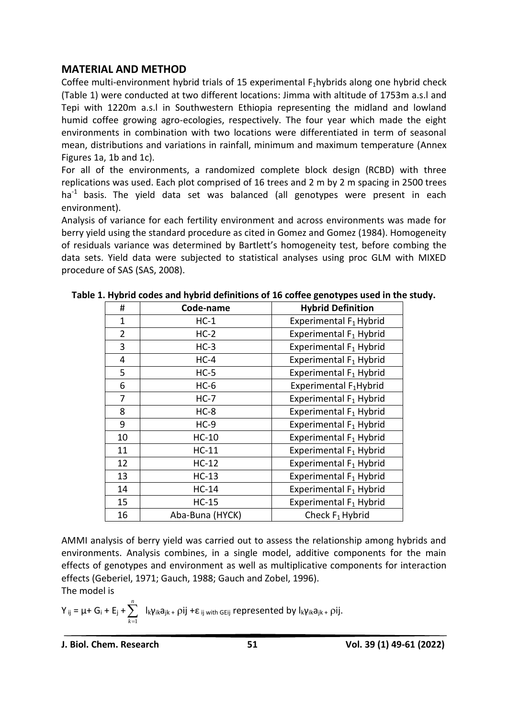### **MATERIAL AND METHOD**

Coffee multi-environment hybrid trials of 15 experimental  $F_1$ hybrids along one hybrid check (Table 1) were conducted at two different locations: Jimma with altitude of 1753m a.s.l and Tepi with 1220m a.s.l in Southwestern Ethiopia representing the midland and lowland humid coffee growing agro-ecologies, respectively. The four year which made the eight environments in combination with two locations were differentiated in term of seasonal mean, distributions and variations in rainfall, minimum and maximum temperature (Annex Figures 1a, 1b and 1c).

For all of the environments, a randomized complete block design (RCBD) with three replications was used. Each plot comprised of 16 trees and 2 m by 2 m spacing in 2500 trees ha<sup>-1</sup> basis. The yield data set was balanced (all genotypes were present in each environment).

Analysis of variance for each fertility environment and across environments was made for berry yield using the standard procedure as cited in Gomez and Gomez (1984). Homogeneity of residuals variance was determined by Bartlett's homogeneity test, before combing the data sets. Yield data were subjected to statistical analyses using proc GLM with MIXED procedure of SAS (SAS, 2008).

| #              | Code-name       | <b>Hybrid Definition</b>           |  |  |
|----------------|-----------------|------------------------------------|--|--|
| 1              | $HC-1$          | Experimental F <sub>1</sub> Hybrid |  |  |
| $\overline{2}$ | $HC-2$          | Experimental F <sub>1</sub> Hybrid |  |  |
| 3              | $HC-3$          | Experimental F <sub>1</sub> Hybrid |  |  |
| 4              | $HC-4$          | Experimental F <sub>1</sub> Hybrid |  |  |
| 5              | $HC-5$          | Experimental F <sub>1</sub> Hybrid |  |  |
| 6              | $HC-6$          | Experimental F <sub>1</sub> Hybrid |  |  |
| 7              | $HC-7$          | Experimental F <sub>1</sub> Hybrid |  |  |
| 8              | $HC-8$          | Experimental F <sub>1</sub> Hybrid |  |  |
| 9              | $HC-9$          | Experimental F <sub>1</sub> Hybrid |  |  |
| 10             | $HC-10$         | Experimental F <sub>1</sub> Hybrid |  |  |
| 11             | $HC-11$         | Experimental F <sub>1</sub> Hybrid |  |  |
| 12             | $HC-12$         | Experimental F <sub>1</sub> Hybrid |  |  |
| 13             | $HC-13$         | Experimental F <sub>1</sub> Hybrid |  |  |
| 14             | $HC-14$         | Experimental F <sub>1</sub> Hybrid |  |  |
| 15             | $HC-15$         | Experimental F <sub>1</sub> Hybrid |  |  |
| 16             | Aba-Buna (HYCK) | Check $F_1$ Hybrid                 |  |  |

**Table 1. Hybrid codes and hybrid definitions of 16 coffee genotypes used in the study.**

AMMI analysis of berry yield was carried out to assess the relationship among hybrids and environments. Analysis combines, in a single model, additive components for the main effects of genotypes and environment as well as multiplicative components for interaction effects (Geberiel, 1971; Gauch, 1988; Gauch and Zobel, 1996).

The model is

$$
Y_{ij} = \mu + G_i + E_j + \sum_{k=1}^n \ \ I_k \gamma_{ik} a_{jk} + \rho ij + \epsilon_{ij \text{ with GEij}} \ \text{represented by} \ I_k \gamma_{ik} a_{jk} + \rho ij.
$$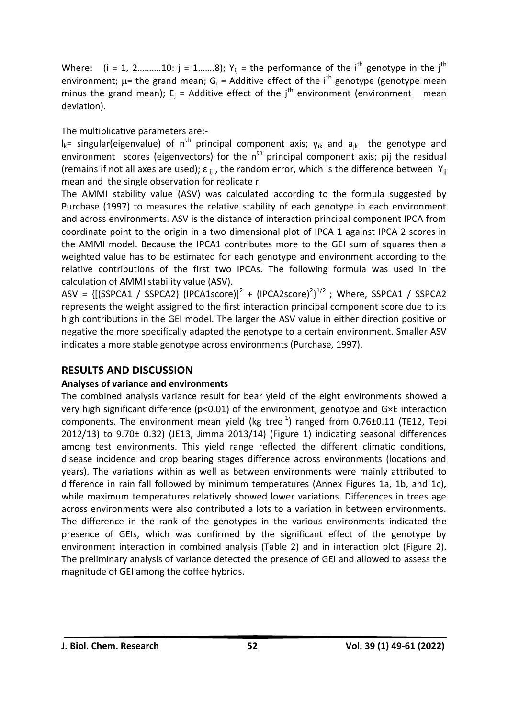Where:  $(i = 1, 2, \ldots, 10; j = 1, \ldots, 8)$ ;  $Y_{ij} =$  the performance of the i<sup>th</sup> genotype in the j<sup>th</sup> environment;  $\mu$ = the grand mean; G<sub>i</sub> = Additive effect of the i<sup>th</sup> genotype (genotype mean minus the grand mean);  $E_i$  = Additive effect of the  $i<sup>th</sup>$  environment (environment mean deviation).

The multiplicative parameters are:-

l<sub>k</sub>= singular(eigenvalue) of n<sup>th</sup> principal component axis; γ<sub>ik</sub> and a<sub>ik</sub> the genotype and environment scores (eigenvectors) for the  $n<sup>th</sup>$  principal component axis; pij the residual (remains if not all axes are used);  $\varepsilon_{ii}$ , the random error, which is the difference between  $Y_{ii}$ mean and the single observation for replicate r.

The AMMI stability value (ASV) was calculated according to the formula suggested by Purchase (1997) to measures the relative stability of each genotype in each environment and across environments. ASV is the distance of interaction principal component IPCA from coordinate point to the origin in a two dimensional plot of IPCA 1 against IPCA 2 scores in the AMMI model. Because the IPCA1 contributes more to the GEI sum of squares then a weighted value has to be estimated for each genotype and environment according to the relative contributions of the first two IPCAs. The following formula was used in the calculation of AMMI stability value (ASV).

ASV = {[(SSPCA1 / SSPCA2) (IPCA1score)]<sup>2</sup> + (IPCA2score)<sup>2</sup>}<sup>1/2</sup> ; Where, SSPCA1 / SSPCA2 represents the weight assigned to the first interaction principal component score due to its high contributions in the GEI model. The larger the ASV value in either direction positive or negative the more specifically adapted the genotype to a certain environment. Smaller ASV indicates a more stable genotype across environments (Purchase, 1997).

# **RESULTS AND DISCUSSION**

## **Analyses of variance and environments**

The combined analysis variance result for bear yield of the eight environments showed a very high significant difference (p<0.01) of the environment, genotype and G×E interaction components. The environment mean yield (kg tree $^{-1}$ ) ranged from 0.76 $\pm$ 0.11 (TE12, Tepi 2012/13) to 9.70± 0.32) (JE13, Jimma 2013/14) (Figure 1) indicating seasonal differences among test environments. This yield range reflected the different climatic conditions, disease incidence and crop bearing stages difference across environments (locations and years). The variations within as well as between environments were mainly attributed to difference in rain fall followed by minimum temperatures (Annex Figures 1a, 1b, and 1c)**,** while maximum temperatures relatively showed lower variations. Differences in trees age across environments were also contributed a lots to a variation in between environments. The difference in the rank of the genotypes in the various environments indicated the presence of GEIs, which was confirmed by the significant effect of the genotype by environment interaction in combined analysis (Table 2) and in interaction plot (Figure 2). The preliminary analysis of variance detected the presence of GEI and allowed to assess the magnitude of GEI among the coffee hybrids.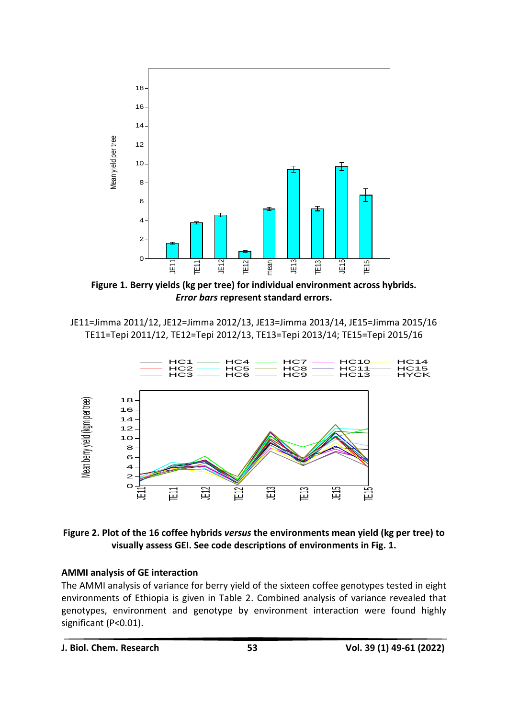

**Figure 1. Berry yields (kg per tree) for individual environment across hybrids.** *Error bars* **represent standard errors.**

JE11=Jimma 2011/12, JE12=Jimma 2012/13, JE13=Jimma 2013/14, JE15=Jimma 2015/16 TE11=Tepi 2011/12, TE12=Tepi 2012/13, TE13=Tepi 2013/14; TE15=Tepi 2015/16



**Figure 2. Plot of the 16 coffee hybrids** *versus* **the environments mean yield (kg per tree) to visually assess GEI. See code descriptions of environments in Fig. 1.**

#### **AMMI analysis of GE interaction**

The AMMI analysis of variance for berry yield of the sixteen coffee genotypes tested in eight environments of Ethiopia is given in Table 2. Combined analysis of variance revealed that genotypes, environment and genotype by environment interaction were found highly significant (P<0.01).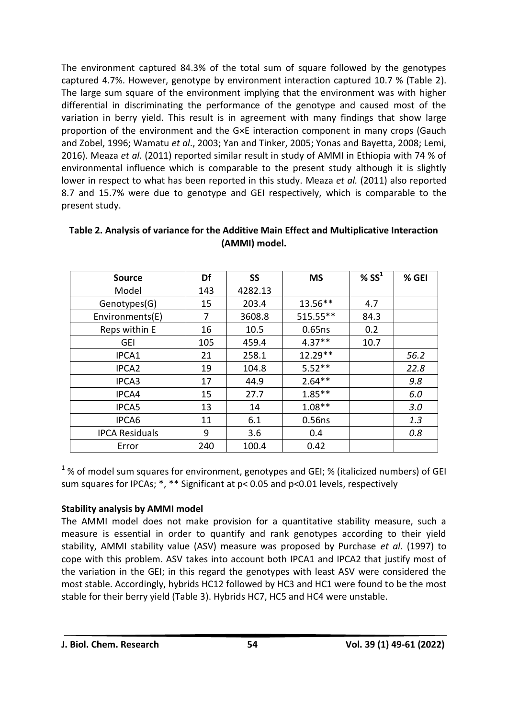The environment captured 84.3% of the total sum of square followed by the genotypes captured 4.7%. However, genotype by environment interaction captured 10.7 % (Table 2). The large sum square of the environment implying that the environment was with higher differential in discriminating the performance of the genotype and caused most of the variation in berry yield. This result is in agreement with many findings that show large proportion of the environment and the G×E interaction component in many crops (Gauch and Zobel, 1996; Wamatu *et al*., 2003; Yan and Tinker, 2005; Yonas and Bayetta, 2008; Lemi, 2016). Meaza *et al.* (2011) reported similar result in study of AMMI in Ethiopia with 74 % of environmental influence which is comparable to the present study although it is slightly lower in respect to what has been reported in this study. Meaza *et al.* (2011) also reported 8.7 and 15.7% were due to genotype and GEI respectively, which is comparable to the present study.

| <b>Source</b>         | Df  | <b>SS</b> | <b>MS</b> | % $SS1$ | % GEI |
|-----------------------|-----|-----------|-----------|---------|-------|
| Model                 | 143 | 4282.13   |           |         |       |
| Genotypes(G)          | 15  | 203.4     | 13.56**   | 4.7     |       |
| Environments(E)       | 7   | 3608.8    | 515.55**  | 84.3    |       |
| Reps within E         | 16  | 10.5      | 0.65ns    | 0.2     |       |
| <b>GEI</b>            | 105 | 459.4     | $4.37**$  | 10.7    |       |
| IPCA1                 | 21  | 258.1     | 12.29**   |         | 56.2  |
| IPCA <sub>2</sub>     | 19  | 104.8     | $5.52**$  |         | 22.8  |
| IPCA3                 | 17  | 44.9      | $2.64**$  |         | 9.8   |
| IPCA4                 | 15  | 27.7      | $1.85***$ |         | 6.0   |
| IPCA5                 | 13  | 14        | $1.08**$  |         | 3.0   |
| IPCA6                 | 11  | 6.1       | 0.56ns    |         | 1.3   |
| <b>IPCA Residuals</b> | 9   | 3.6       | 0.4       |         | 0.8   |
| Error                 | 240 | 100.4     | 0.42      |         |       |

**Table 2. Analysis of variance for the Additive Main Effect and Multiplicative Interaction (AMMI) model.**

 $1\%$  of model sum squares for environment, genotypes and GEI; % (italicized numbers) of GEI sum squares for IPCAs; \*, \*\* Significant at p< 0.05 and p<0.01 levels, respectively

### **Stability analysis by AMMI model**

The AMMI model does not make provision for a quantitative stability measure, such a measure is essential in order to quantify and rank genotypes according to their yield stability, AMMI stability value (ASV) measure was proposed by Purchase *et al*. (1997) to cope with this problem. ASV takes into account both IPCA1 and IPCA2 that justify most of the variation in the GEI; in this regard the genotypes with least ASV were considered the most stable. Accordingly, hybrids HC12 followed by HC3 and HC1 were found to be the most stable for their berry yield (Table 3). Hybrids HC7, HC5 and HC4 were unstable.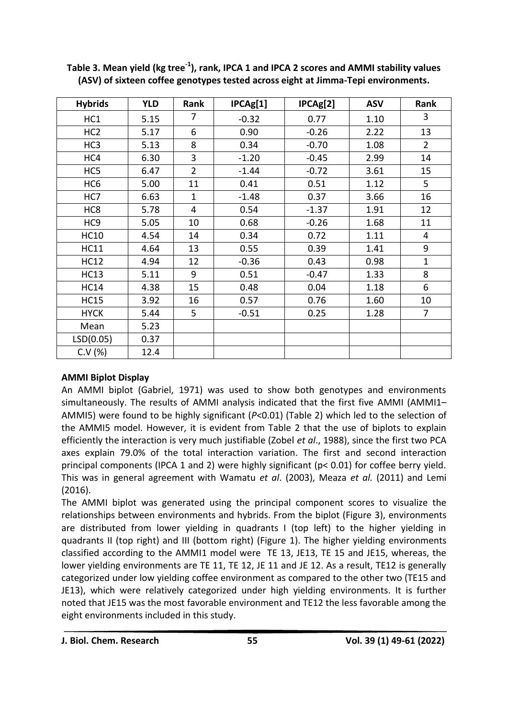| <b>Hybrids</b>  | <b>YLD</b> | Rank           | IPCAg[1] | IPCAg[2] | <b>ASV</b> | Rank           |
|-----------------|------------|----------------|----------|----------|------------|----------------|
| HC1             | 5.15       | 7              | $-0.32$  | 0.77     | 1.10       | 3              |
| HC <sub>2</sub> | 5.17       | 6              | 0.90     | $-0.26$  | 2.22       | 13             |
| HC <sub>3</sub> | 5.13       | 8              | 0.34     | $-0.70$  | 1.08       | $\overline{2}$ |
| HC4             | 6.30       | 3              | $-1.20$  | $-0.45$  | 2.99       | 14             |
| HC <sub>5</sub> | 6.47       | $\overline{2}$ | $-1.44$  | $-0.72$  | 3.61       | 15             |
| HC <sub>6</sub> | 5.00       | 11             | 0.41     | 0.51     | 1.12       | 5              |
| HC7             | 6.63       | $\mathbf{1}$   | $-1.48$  | 0.37     | 3.66       | 16             |
| HC8             | 5.78       | 4              | 0.54     | $-1.37$  | 1.91       | 12             |
| HC <sub>9</sub> | 5.05       | 10             | 0.68     | $-0.26$  | 1.68       | 11             |
| <b>HC10</b>     | 4.54       | 14             | 0.34     | 0.72     | 1.11       | 4              |
| <b>HC11</b>     | 4.64       | 13             | 0.55     | 0.39     | 1.41       | 9              |
| <b>HC12</b>     | 4.94       | 12             | $-0.36$  | 0.43     | 0.98       | $\mathbf{1}$   |
| <b>HC13</b>     | 5.11       | 9              | 0.51     | $-0.47$  | 1.33       | 8              |
| <b>HC14</b>     | 4.38       | 15             | 0.48     | 0.04     | 1.18       | 6              |
| <b>HC15</b>     | 3.92       | 16             | 0.57     | 0.76     | 1.60       | 10             |
| <b>HYCK</b>     | 5.44       | 5              | $-0.51$  | 0.25     | 1.28       | $\overline{7}$ |
| Mean            | 5.23       |                |          |          |            |                |
| LSD(0.05)       | 0.37       |                |          |          |            |                |
| C.V (%)         | 12.4       |                |          |          |            |                |

**Table 3. Mean yield (kg tree-1 ), rank, IPCA 1 and IPCA 2 scores and AMMI stability values (ASV) of sixteen coffee genotypes tested across eight at Jimma-Tepi environments.**

### **AMMI Biplot Display**

An AMMI biplot (Gabriel, 1971) was used to show both genotypes and environments simultaneously. The results of AMMI analysis indicated that the first five AMMI (AMMI1– AMMI5) were found to be highly significant (*P*<0.01) (Table 2) which led to the selection of the AMMI5 model. However, it is evident from Table 2 that the use of biplots to explain efficiently the interaction is very much justifiable (Zobel *et al*., 1988), since the first two PCA axes explain 79.0% of the total interaction variation. The first and second interaction principal components (IPCA 1 and 2) were highly significant (p< 0.01) for coffee berry yield. This was in general agreement with Wamatu *et al*. (2003), Meaza *et al.* (2011) and Lemi (2016).

The AMMI biplot was generated using the principal component scores to visualize the relationships between environments and hybrids. From the biplot (Figure 3), environments are distributed from lower yielding in quadrants I (top left) to the higher yielding in quadrants II (top right) and III (bottom right) (Figure 1). The higher yielding environments classified according to the AMMI1 model were TE 13, JE13, TE 15 and JE15, whereas, the lower yielding environments are TE 11, TE 12, JE 11 and JE 12. As a result, TE12 is generally categorized under low yielding coffee environment as compared to the other two (TE15 and JE13), which were relatively categorized under high yielding environments. It is further noted that JE15 was the most favorable environment and TE12 the less favorable among the eight environments included in this study.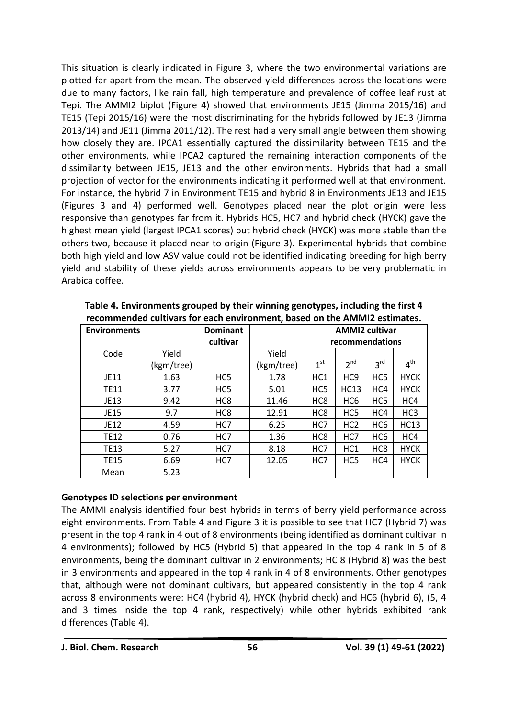This situation is clearly indicated in Figure 3, where the two environmental variations are plotted far apart from the mean. The observed yield differences across the locations were due to many factors, like rain fall, high temperature and prevalence of coffee leaf rust at Tepi. The AMMI2 biplot (Figure 4) showed that environments JE15 (Jimma 2015/16) and TE15 (Tepi 2015/16) were the most discriminating for the hybrids followed by JE13 (Jimma 2013/14) and JE11 (Jimma 2011/12). The rest had a very small angle between them showing how closely they are. IPCA1 essentially captured the dissimilarity between TE15 and the other environments, while IPCA2 captured the remaining interaction components of the dissimilarity between JE15, JE13 and the other environments. Hybrids that had a small projection of vector for the environments indicating it performed well at that environment. For instance, the hybrid 7 in Environment TE15 and hybrid 8 in Environments JE13 and JE15 (Figures 3 and 4) performed well. Genotypes placed near the plot origin were less responsive than genotypes far from it. Hybrids HC5, HC7 and hybrid check (HYCK) gave the highest mean yield (largest IPCA1 scores) but hybrid check (HYCK) was more stable than the others two, because it placed near to origin (Figure 3). Experimental hybrids that combine both high yield and low ASV value could not be identified indicating breeding for high berry yield and stability of these yields across environments appears to be very problematic in Arabica coffee.

| <b>Environments</b> |            | <b>Dominant</b> |            | <b>AMMI2 cultivar</b> |                 |                 |                 |
|---------------------|------------|-----------------|------------|-----------------------|-----------------|-----------------|-----------------|
|                     |            | cultivar        |            | recommendations       |                 |                 |                 |
| Code                | Yield      |                 | Yield      |                       |                 |                 |                 |
|                     | (kgm/tree) |                 | (kgm/tree) | $1^{\rm st}$          | 2 <sup>nd</sup> | $3^{\text{rd}}$ | $4^{\text{th}}$ |
| JE11                | 1.63       | HC <sub>5</sub> | 1.78       | HC <sub>1</sub>       | HC <sub>9</sub> | HC <sub>5</sub> | <b>HYCK</b>     |
| <b>TE11</b>         | 3.77       | HC <sub>5</sub> | 5.01       | HC <sub>5</sub>       | HC13            | HC4             | <b>HYCK</b>     |
| JE13                | 9.42       | HC <sub>8</sub> | 11.46      | HC <sub>8</sub>       | HC <sub>6</sub> | HC <sub>5</sub> | HC4             |
| JE15                | 9.7        | HC <sub>8</sub> | 12.91      | HC <sub>8</sub>       | HC <sub>5</sub> | HC4             | HC <sub>3</sub> |
| JE12                | 4.59       | HC7             | 6.25       | HC7                   | HC <sub>2</sub> | HC <sub>6</sub> | HC13            |
| <b>TE12</b>         | 0.76       | HC7             | 1.36       | HC <sub>8</sub>       | HC7             | HC <sub>6</sub> | HC4             |
| <b>TE13</b>         | 5.27       | HC7             | 8.18       | HC7                   | HC <sub>1</sub> | HC <sub>8</sub> | <b>HYCK</b>     |
| <b>TE15</b>         | 6.69       | HC7             | 12.05      | HC7                   | HC <sub>5</sub> | HC4             | <b>HYCK</b>     |
| Mean                | 5.23       |                 |            |                       |                 |                 |                 |

**Table 4. Environments grouped by their winning genotypes, including the first 4 recommended cultivars for each environment, based on the AMMI2 estimates.**

#### **Genotypes ID selections per environment**

The AMMI analysis identified four best hybrids in terms of berry yield performance across eight environments. From Table 4 and Figure 3 it is possible to see that HC7 (Hybrid 7) was present in the top 4 rank in 4 out of 8 environments (being identified as dominant cultivar in 4 environments); followed by HC5 (Hybrid 5) that appeared in the top 4 rank in 5 of 8 environments, being the dominant cultivar in 2 environments; HC 8 (Hybrid 8) was the best in 3 environments and appeared in the top 4 rank in 4 of 8 environments. Other genotypes that, although were not dominant cultivars, but appeared consistently in the top 4 rank across 8 environments were: HC4 (hybrid 4), HYCK (hybrid check) and HC6 (hybrid 6), (5, 4 and 3 times inside the top 4 rank, respectively) while other hybrids exhibited rank differences (Table 4).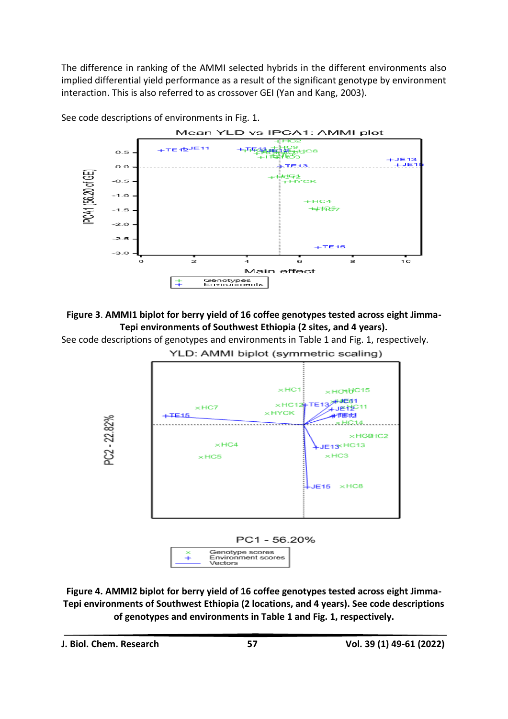The difference in ranking of the AMMI selected hybrids in the different environments also implied differential yield performance as a result of the significant genotype by environment interaction. This is also referred to as crossover GEI (Yan and Kang, 2003).



See code descriptions of environments in Fig. 1.



See code descriptions of genotypes and environments in Table 1 and Fig. 1, respectively. YLD: AMMI biplot (symmetric scaling)



**Figure 4. AMMI2 biplot for berry yield of 16 coffee genotypes tested across eight Jimma-Tepi environments of Southwest Ethiopia (2 locations, and 4 years). See code descriptions of genotypes and environments in Table 1 and Fig. 1, respectively.**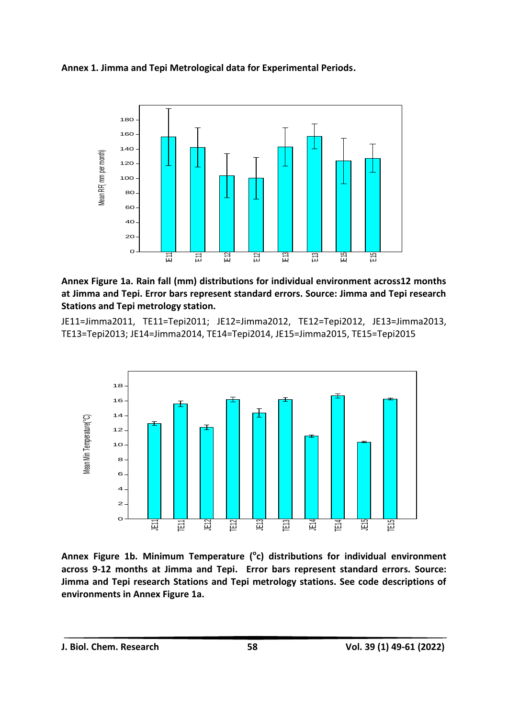



**Annex Figure 1a. Rain fall (mm) distributions for individual environment across12 months at Jimma and Tepi. Error bars represent standard errors. Source: Jimma and Tepi research Stations and Tepi metrology station.**

JE11=Jimma2011, TE11=Tepi2011; JE12=Jimma2012, TE12=Tepi2012, JE13=Jimma2013, TE13=Tepi2013; JE14=Jimma2014, TE14=Tepi2014, JE15=Jimma2015, TE15=Tepi2015



**Annex Figure 1b. Minimum Temperature (<sup>o</sup> c) distributions for individual environment across 9-12 months at Jimma and Tepi. Error bars represent standard errors. Source: Jimma and Tepi research Stations and Tepi metrology stations. See code descriptions of environments in Annex Figure 1a.**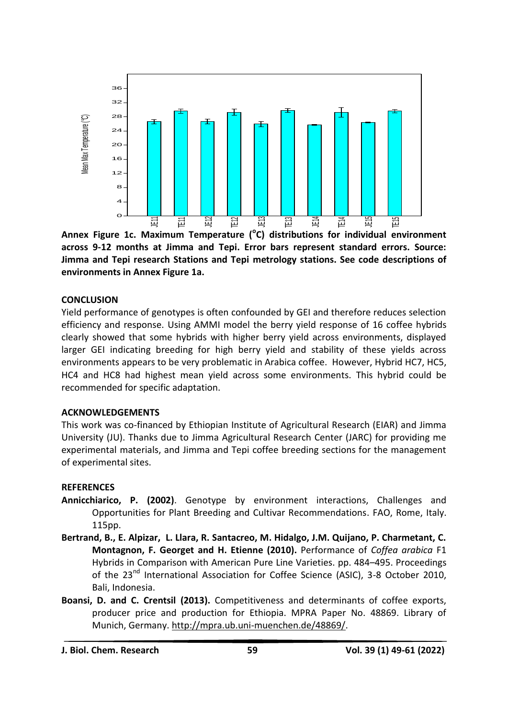

**Annex Figure 1c. Maximum Temperature (<sup>o</sup> C) distributions for individual environment across 9-12 months at Jimma and Tepi. Error bars represent standard errors. Source: Jimma and Tepi research Stations and Tepi metrology stations. See code descriptions of environments in Annex Figure 1a.**

#### **CONCLUSION**

Yield performance of genotypes is often confounded by GEI and therefore reduces selection efficiency and response. Using AMMI model the berry yield response of 16 coffee hybrids clearly showed that some hybrids with higher berry yield across environments, displayed larger GEI indicating breeding for high berry yield and stability of these yields across environments appears to be very problematic in Arabica coffee. However, Hybrid HC7, HC5, HC4 and HC8 had highest mean yield across some environments. This hybrid could be recommended for specific adaptation.

#### **ACKNOWLEDGEMENTS**

This work was co-financed by Ethiopian Institute of Agricultural Research (EIAR) and Jimma University (JU). Thanks due to Jimma Agricultural Research Center (JARC) for providing me experimental materials, and Jimma and Tepi coffee breeding sections for the management of experimental sites.

#### **REFERENCES**

- **Annicchiarico, P. (2002)**. Genotype by environment interactions, Challenges and Opportunities for Plant Breeding and Cultivar Recommendations. FAO, Rome, Italy. 115pp.
- **Bertrand, B., E. Alpizar, L. Llara, R. Santacreo, M. Hidalgo, J.M. Quijano, P. Charmetant, C. Montagnon, F. Georget and H. Etienne (2010).** Performance of *Coffea arabica* F1 Hybrids in Comparison with American Pure Line Varieties. pp. 484–495. Proceedings of the 23<sup>nd</sup> International Association for Coffee Science (ASIC), 3-8 October 2010, Bali, Indonesia.
- **Boansi, D. and C. Crentsil (2013).** Competitiveness and determinants of coffee exports, producer price and production for Ethiopia. MPRA Paper No. 48869. Library of Munich, Germany. [http://mpra.ub.uni-muenchen.de/48869/.](http://mpra.ub.uni-muenchen.de/48869/)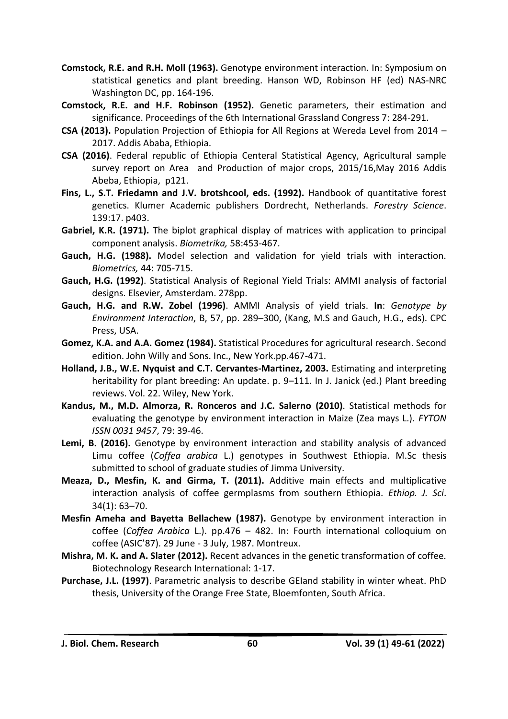- **Comstock, R.E. and R.H. Moll (1963).** Genotype environment interaction. In: Symposium on statistical genetics and plant breeding. Hanson WD, Robinson HF (ed) NAS-NRC Washington DC, pp. 164-196.
- **Comstock, R.E. and H.F. Robinson (1952).** Genetic parameters, their estimation and significance. Proceedings of the 6th International Grassland Congress 7: 284-291.
- **CSA (2013).** Population Projection of Ethiopia for All Regions at Wereda Level from 2014 2017. Addis Ababa, Ethiopia.
- **CSA (2016)**. Federal republic of Ethiopia Centeral Statistical Agency, Agricultural sample survey report on Area and Production of major crops, 2015/16,May 2016 Addis Abeba, Ethiopia, p121.
- **Fins, L., S.T. Friedamn and J.V. brotshcool, eds. (1992).** Handbook of quantitative forest genetics. Klumer Academic publishers Dordrecht, Netherlands. *Forestry Science*. 139:17. p403.
- **Gabriel, K.R. (1971).** The biplot graphical display of matrices with application to principal component analysis. *Biometrika,* 58:453-467.
- **Gauch, H.G. (1988).** Model selection and validation for yield trials with interaction. *Biometrics,* 44: 705-715.
- **Gauch, H.G. (1992)**. Statistical Analysis of Regional Yield Trials: AMMI analysis of factorial designs. Elsevier, Amsterdam. 278pp.
- **Gauch, H.G. and R.W. Zobel (1996)**. AMMI Analysis of yield trials. **In**: *Genotype by Environment Interaction*, B, 57, pp. 289–300, (Kang, M.S and Gauch, H.G., eds). CPC Press, USA.
- **Gomez, K.A. and A.A. Gomez (1984).** Statistical Procedures for agricultural research. Second edition. John Willy and Sons. Inc., New York.pp.467-471.
- **Holland, J.B., W.E. Nyquist and C.T. Cervantes-Martinez, 2003.** Estimating and interpreting heritability for plant breeding: An update. p. 9–111. In J. Janick (ed.) Plant breeding reviews. Vol. 22. Wiley, New York.
- **Kandus, M., M.D. Almorza, R. Ronceros and J.C. Salerno (2010)**. Statistical methods for evaluating the genotype by environment interaction in Maize (Zea mays L.). *FYTON ISSN 0031 9457*, 79: 39-46.
- **Lemi, B. (2016).** Genotype by environment interaction and stability analysis of advanced Limu coffee (*Coffea arabica* L.) genotypes in Southwest Ethiopia. M.Sc thesis submitted to school of graduate studies of Jimma University.
- **Meaza, D., Mesfin, K. and Girma, T. (2011).** Additive main effects and multiplicative interaction analysis of coffee germplasms from southern Ethiopia. *Ethiop. J. Sci*. 34(1): 63–70.
- **Mesfin Ameha and Bayetta Bellachew (1987).** Genotype by environment interaction in coffee (*Coffea Arabica* L.). pp.476 – 482. In: Fourth international colloquium on coffee (ASIC'87). 29 June - 3 July, 1987. Montreux.
- **Mishra, M. K. and A. Slater (2012).** Recent advances in the genetic transformation of coffee*.*  Biotechnology Research International: 1-17.
- **Purchase, J.L. (1997)**. Parametric analysis to describe GEIand stability in winter wheat. PhD thesis, University of the Orange Free State, Bloemfonten, South Africa.